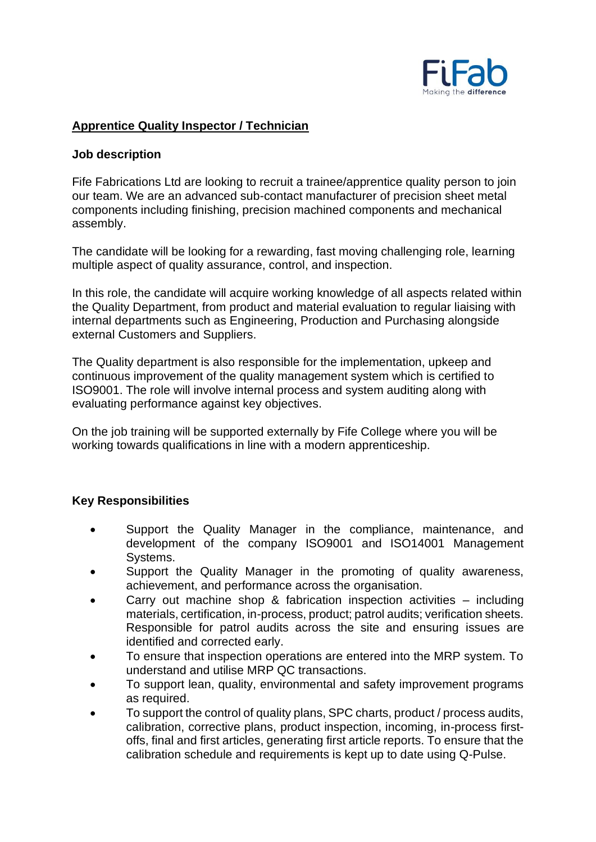

## **Apprentice Quality Inspector / Technician**

## **Job description**

Fife Fabrications Ltd are looking to recruit a trainee/apprentice quality person to join our team. We are an advanced sub-contact manufacturer of precision sheet metal components including finishing, precision machined components and mechanical assembly.

The candidate will be looking for a rewarding, fast moving challenging role, learning multiple aspect of quality assurance, control, and inspection.

In this role, the candidate will acquire working knowledge of all aspects related within the Quality Department, from product and material evaluation to regular liaising with internal departments such as Engineering, Production and Purchasing alongside external Customers and Suppliers.

The Quality department is also responsible for the implementation, upkeep and continuous improvement of the quality management system which is certified to ISO9001. The role will involve internal process and system auditing along with evaluating performance against key objectives.

On the job training will be supported externally by Fife College where you will be working towards qualifications in line with a modern apprenticeship.

## **Key Responsibilities**

- Support the Quality Manager in the compliance, maintenance, and development of the company ISO9001 and ISO14001 Management Systems.
- Support the Quality Manager in the promoting of quality awareness, achievement, and performance across the organisation.
- Carry out machine shop & fabrication inspection activities  $-$  including materials, certification, in-process, product; patrol audits; verification sheets. Responsible for patrol audits across the site and ensuring issues are identified and corrected early.
- To ensure that inspection operations are entered into the MRP system. To understand and utilise MRP QC transactions.
- To support lean, quality, environmental and safety improvement programs as required.
- To support the control of quality plans, SPC charts, product / process audits, calibration, corrective plans, product inspection, incoming, in-process firstoffs, final and first articles, generating first article reports. To ensure that the calibration schedule and requirements is kept up to date using Q-Pulse.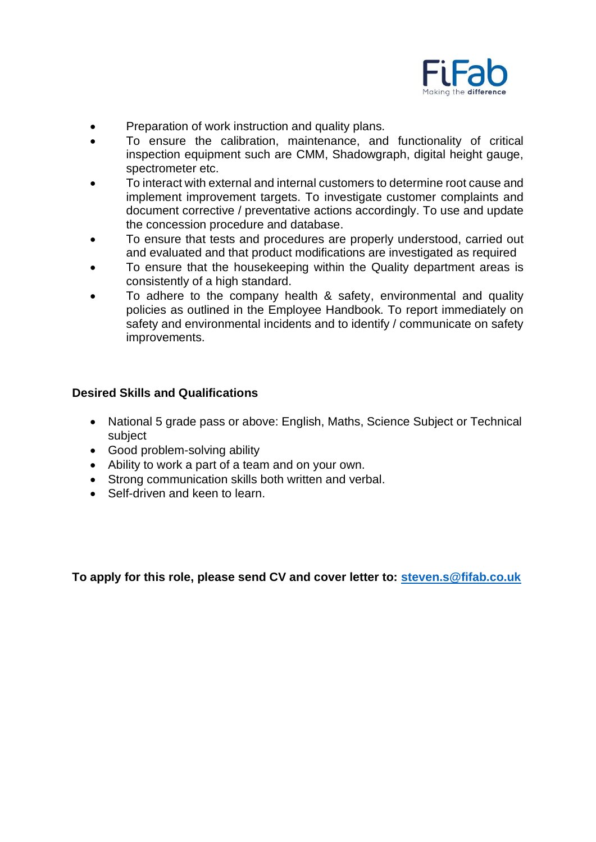

- Preparation of work instruction and quality plans.
- To ensure the calibration, maintenance, and functionality of critical inspection equipment such are CMM, Shadowgraph, digital height gauge, spectrometer etc.
- To interact with external and internal customers to determine root cause and implement improvement targets. To investigate customer complaints and document corrective / preventative actions accordingly. To use and update the concession procedure and database.
- To ensure that tests and procedures are properly understood, carried out and evaluated and that product modifications are investigated as required
- To ensure that the housekeeping within the Quality department areas is consistently of a high standard.
- To adhere to the company health & safety, environmental and quality policies as outlined in the Employee Handbook. To report immediately on safety and environmental incidents and to identify / communicate on safety improvements.

## **Desired Skills and Qualifications**

- National 5 grade pass or above: English, Maths, Science Subject or Technical subject
- Good problem-solving ability
- Ability to work a part of a team and on your own.
- Strong communication skills both written and verbal.
- Self-driven and keen to learn.

**To apply for this role, please send CV and cover letter to: [steven.s@fifab.co.uk](mailto:steven.s@fifab.co.uk)**